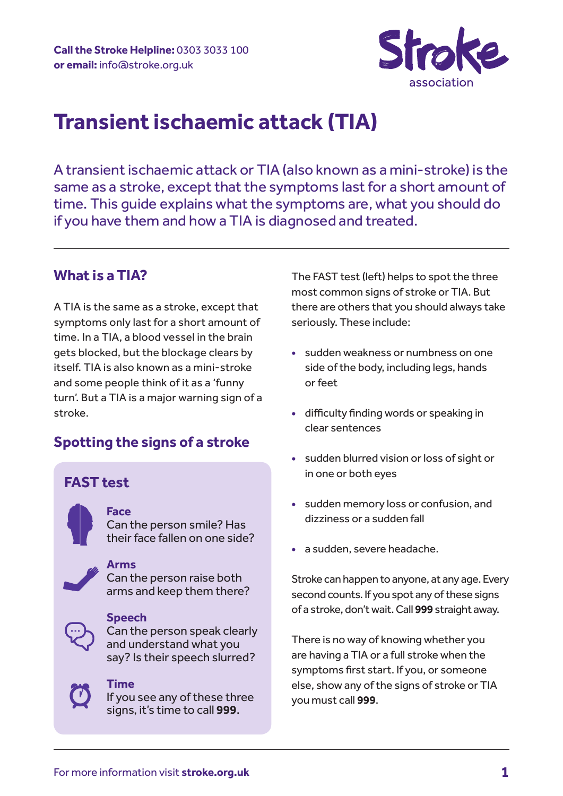

# **Transient ischaemic attack (TIA)**

A transient ischaemic attack or TIA (also known as a mini-stroke) is the same as a stroke, except that the symptoms last for a short amount of time. This guide explains what the symptoms are, what you should do if you have them and how a TIA is diagnosed and treated.

# **What is a TIA?**

A TIA is the same as a stroke, except that symptoms only last for a short amount of time. In a TIA, a blood vessel in the brain gets blocked, but the blockage clears by itself. TIA is also known as a mini-stroke and some people think of it as a 'funny turn'. But a TIA is a major warning sign of a stroke.

# **Spotting the signs of a stroke**

# **FAST test**

**Face** Can the person smile? Has their face fallen on one side?

#### **Arms**

Can the person raise both arms and keep them there?



#### **Speech**

Can the person speak clearly and understand what you say? Is their speech slurred?



### **Time**

If you see any of these three signs, it's time to call **999**.

The FAST test (left) helps to spot the three most common signs of stroke or TIA. But there are others that you should always take seriously. These include:

- **•** sudden weakness or numbness on one side of the body, including legs, hands or feet
- **•** difficulty finding words or speaking in clear sentences
- **•** sudden blurred vision or loss of sight or in one or both eyes
- **•** sudden memory loss or confusion, and dizziness or a sudden fall
- **•** a sudden, severe headache.

Stroke can happen to anyone, at any age. Every second counts. If you spot any of these signs of a stroke, don't wait. Call **999** straight away.

There is no way of knowing whether you are having a TIA or a full stroke when the symptoms first start. If you, or someone else, show any of the signs of stroke or TIA you must call **999**.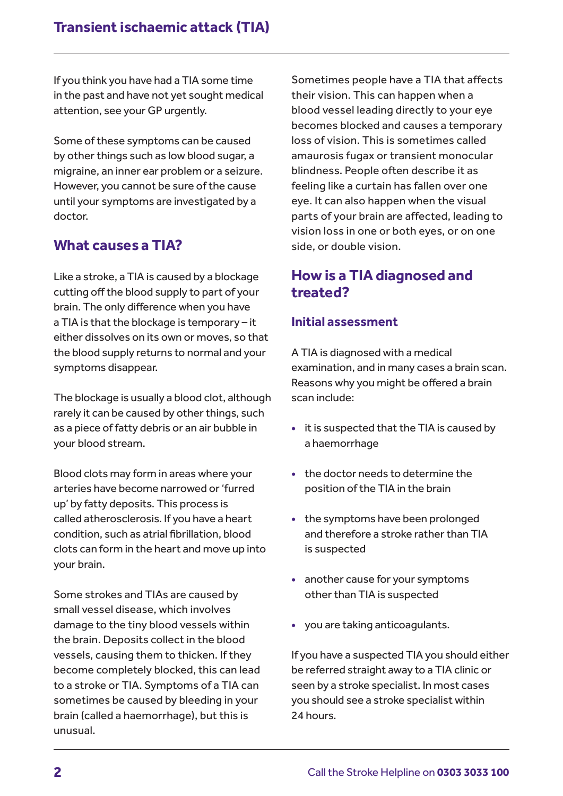If you think you have had a TIA some time in the past and have not yet sought medical attention, see your GP urgently.

Some of these symptoms can be caused by other things such as low blood sugar, a migraine, an inner ear problem or a seizure. However, you cannot be sure of the cause until your symptoms are investigated by a doctor.

# **What causes a TIA?**

Like a stroke, a TIA is caused by a blockage cutting off the blood supply to part of your brain. The only difference when you have a TIA is that the blockage is temporary – it either dissolves on its own or moves, so that the blood supply returns to normal and your symptoms disappear.

The blockage is usually a blood clot, although rarely it can be caused by other things, such as a piece of fatty debris or an air bubble in your blood stream.

Blood clots may form in areas where your arteries have become narrowed or 'furred up' by fatty deposits. This process is called atherosclerosis. If you have a heart condition, such as atrial fibrillation, blood clots can form in the heart and move up into your brain.

Some strokes and TIAs are caused by small vessel disease, which involves damage to the tiny blood vessels within the brain. Deposits collect in the blood vessels, causing them to thicken. If they become completely blocked, this can lead to a stroke or TIA. Symptoms of a TIA can sometimes be caused by bleeding in your brain (called a haemorrhage), but this is unusual.

Sometimes people have a TIA that affects their vision. This can happen when a blood vessel leading directly to your eye becomes blocked and causes a temporary loss of vision. This is sometimes called amaurosis fugax or transient monocular blindness. People often describe it as feeling like a curtain has fallen over one eye. It can also happen when the visual parts of your brain are affected, leading to vision loss in one or both eyes, or on one side, or double vision.

# **How is a TIA diagnosed and treated?**

# **Initial assessment**

A TIA is diagnosed with a medical examination, and in many cases a brain scan. Reasons why you might be offered a brain scan include:

- **•** it is suspected that the TIA is caused by a haemorrhage
- **•** the doctor needs to determine the position of the TIA in the brain
- **•** the symptoms have been prolonged and therefore a stroke rather than TIA is suspected
- **•** another cause for your symptoms other than TIA is suspected
- **•** you are taking anticoagulants.

If you have a suspected TIA you should either be referred straight away to a TIA clinic or seen by a stroke specialist. In most cases you should see a stroke specialist within 24 hours.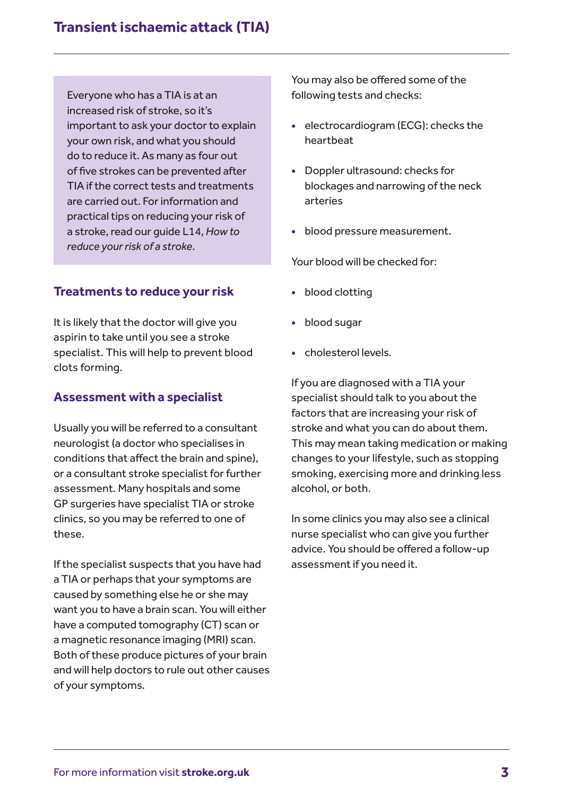Everyone who has a TIA is at an increased risk of stroke, so it's important to ask your doctor to explain your own risk, and what you should do to reduce it. As many as four out of five strokes can be prevented after TIA if the correct tests and treatments are carried out. For information and practical tips on reducing your risk of a stroke, read our guide L14, *How to reduce your risk of a stroke*.

# **Treatments to reduce your risk**

It is likely that the doctor will give you aspirin to take until you see a stroke specialist. This will help to prevent blood clots forming.

### **Assessment with a specialist**

Usually you will be referred to a consultant neurologist (a doctor who specialises in conditions that affect the brain and spine), or a consultant stroke specialist for further assessment. Many hospitals and some GP surgeries have specialist TIA or stroke clinics, so you may be referred to one of these.

If the specialist suspects that you have had a TIA or perhaps that your symptoms are caused by something else he or she may want you to have a brain scan. You will either have a computed tomography (CT) scan or a magnetic resonance imaging (MRI) scan. Both of these produce pictures of your brain and will help doctors to rule out other causes of your symptoms.

You may also be offered some of the following tests and checks:

- **•** electrocardiogram (ECG): checks the heartbeat
- **•** Doppler ultrasound: checks for blockages and narrowing of the neck arteries
- **•** blood pressure measurement.

Your blood will be checked for:

- **•** blood clotting
- **•** blood sugar
- **•** cholesterol levels.

If you are diagnosed with a TIA your specialist should talk to you about the factors that are increasing your risk of stroke and what you can do about them. This may mean taking medication or making changes to your lifestyle, such as stopping smoking, exercising more and drinking less alcohol, or both.

In some clinics you may also see a clinical nurse specialist who can give you further advice. You should be offered a follow-up assessment if you need it.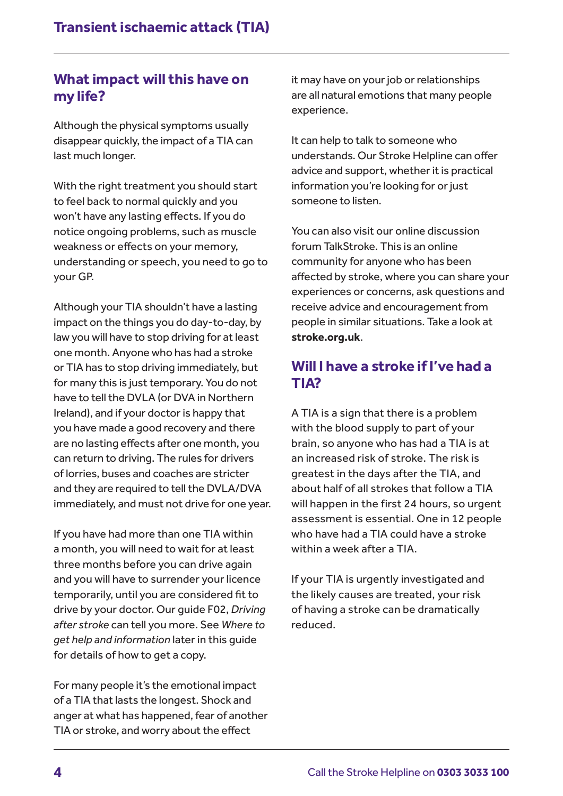# **What impact will this have on my life?**

Although the physical symptoms usually disappear quickly, the impact of a TIA can last much longer.

With the right treatment you should start to feel back to normal quickly and you won't have any lasting effects. If you do notice ongoing problems, such as muscle weakness or effects on your memory, understanding or speech, you need to go to your GP.

Although your TIA shouldn't have a lasting impact on the things you do day-to-day, by law you will have to stop driving for at least one month. Anyone who has had a stroke or TIA has to stop driving immediately, but for many this is just temporary. You do not have to tell the DVLA (or DVA in Northern Ireland), and if your doctor is happy that you have made a good recovery and there are no lasting effects after one month, you can return to driving. The rules for drivers of lorries, buses and coaches are stricter and they are required to tell the DVLA/DVA immediately, and must not drive for one year.

If you have had more than one TIA within a month, you will need to wait for at least three months before you can drive again and you will have to surrender your licence temporarily, until you are considered fit to drive by your doctor. Our guide F02, *Driving after stroke* can tell you more. See *Where to get help and information* later in this guide for details of how to get a copy.

For many people it's the emotional impact of a TIA that lasts the longest. Shock and anger at what has happened, fear of another TIA or stroke, and worry about the effect

it may have on your job or relationships are all natural emotions that many people experience.

It can help to talk to someone who understands. Our Stroke Helpline can offer advice and support, whether it is practical information you're looking for or just someone to listen.

You can also visit our online discussion forum TalkStroke. This is an online community for anyone who has been affected by stroke, where you can share your experiences or concerns, ask questions and receive advice and encouragement from people in similar situations. Take a look at **stroke.org.uk**.

# **Will I have a stroke if I've had a TIA?**

A TIA is a sign that there is a problem with the blood supply to part of your brain, so anyone who has had a TIA is at an increased risk of stroke. The risk is greatest in the days after the TIA, and about half of all strokes that follow a TIA will happen in the first 24 hours, so urgent assessment is essential. One in 12 people who have had a TIA could have a stroke within a week after a TIA.

If your TIA is urgently investigated and the likely causes are treated, your risk of having a stroke can be dramatically reduced.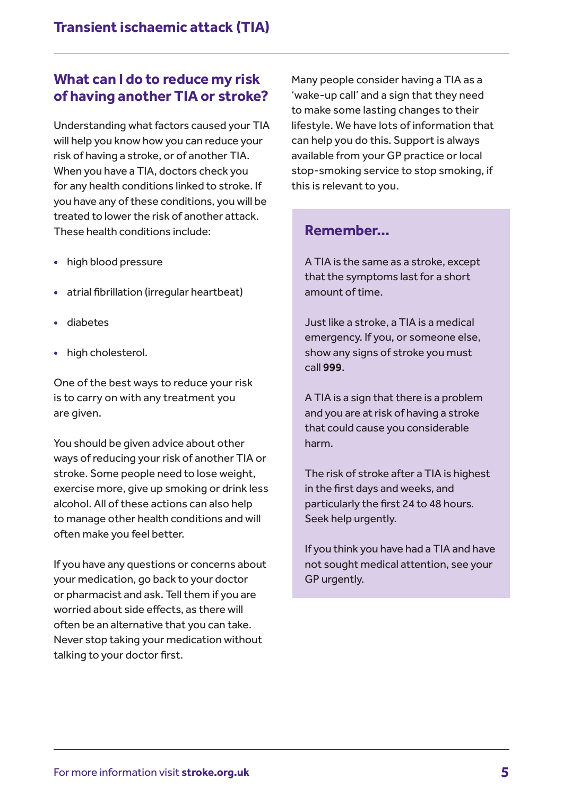# **What can I do to reduce my risk of having another TIA or stroke?**

Understanding what factors caused your TIA will help you know how you can reduce your risk of having a stroke, or of another TIA. When you have a TIA, doctors check you for any health conditions linked to stroke. If you have any of these conditions, you will be treated to lower the risk of another attack. These health conditions include:

- **•** high blood pressure
- **•** atrial fibrillation (irregular heartbeat)
- **•** diabetes
- **•** high cholesterol.

One of the best ways to reduce your risk is to carry on with any treatment you are given.

You should be given advice about other ways of reducing your risk of another TIA or stroke. Some people need to lose weight, exercise more, give up smoking or drink less alcohol. All of these actions can also help to manage other health conditions and will often make you feel better.

If you have any questions or concerns about your medication, go back to your doctor or pharmacist and ask. Tell them if you are worried about side effects, as there will often be an alternative that you can take. Never stop taking your medication without talking to your doctor first.

Many people consider having a TIA as a 'wake-up call' and a sign that they need to make some lasting changes to their lifestyle. We have lots of information that can help you do this. Support is always available from your GP practice or local stop-smoking service to stop smoking, if this is relevant to you.

# **Remember...**

A TIA is the same as a stroke, except that the symptoms last for a short amount of time.

Just like a stroke, a TIA is a medical emergency. If you, or someone else, show any signs of stroke you must call **999**.

A TIA is a sign that there is a problem and you are at risk of having a stroke that could cause you considerable harm.

The risk of stroke after a TIA is highest in the first days and weeks, and particularly the first 24 to 48 hours. Seek help urgently.

If you think you have had a TIA and have not sought medical attention, see your GP urgently.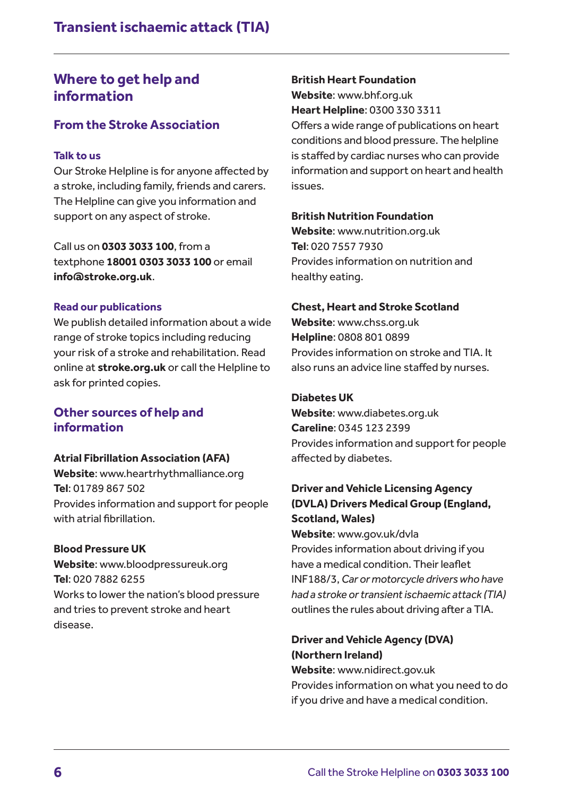# **Where to get help and information**

# **From the Stroke Association**

### **Talk to us**

Our Stroke Helpline is for anyone affected by a stroke, including family, friends and carers. The Helpline can give you information and support on any aspect of stroke.

Call us on **0303 3033 100**, from a textphone **18001 0303 3033 100** or email **info@stroke.org.uk**.

### **Read our publications**

We publish detailed information about a wide range of stroke topics including reducing your risk of a stroke and rehabilitation. Read online at **stroke.org.uk** or call the Helpline to ask for printed copies.

### **Other sources of help and information**

#### **Atrial Fibrillation Association (AFA)**

**Website**: www.heartrhythmalliance.org **Tel**: 01789 867 502 Provides information and support for people with atrial fibrillation.

### **Blood Pressure UK**

**Website**: www.bloodpressureuk.org **Tel**: 020 7882 6255 Works to lower the nation's blood pressure and tries to prevent stroke and heart disease.

### **British Heart Foundation**

**Website**: www.bhf.org.uk **Heart Helpline**: 0300 330 3311 Offers a wide range of publications on heart conditions and blood pressure. The helpline is staffed by cardiac nurses who can provide information and support on heart and health issues.

### **British Nutrition Foundation**

**Website**: www.nutrition.org.uk **Tel**: 020 7557 7930 Provides information on nutrition and healthy eating.

### **Chest, Heart and Stroke Scotland**

**Website**: www.chss.org.uk **Helpline**: 0808 801 0899 Provides information on stroke and TIA. It also runs an advice line staffed by nurses.

### **Diabetes UK**

**Website**: www.diabetes.org.uk **Careline**: 0345 123 2399 Provides information and support for people affected by diabetes.

# **Driver and Vehicle Licensing Agency (DVLA) Drivers Medical Group (England, Scotland, Wales)**

**Website**: www.gov.uk/dvla Provides information about driving if you have a medical condition. Their leaflet INF188/3, *Car or motorcycle drivers who have had a stroke or transient ischaemic attack (TIA)* outlines the rules about driving after a TIA.

# **Driver and Vehicle Agency (DVA) (Northern Ireland)**

**Website**: www.nidirect.gov.uk Provides information on what you need to do if you drive and have a medical condition.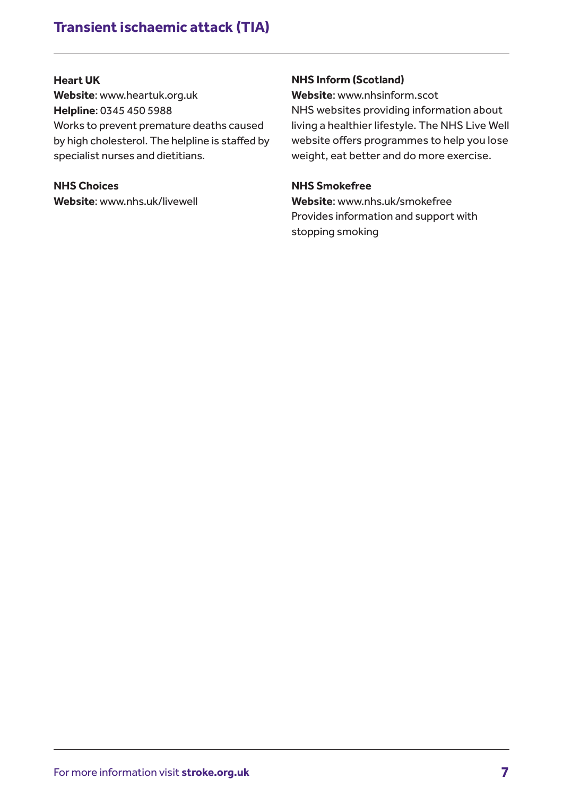# **Transient ischaemic attack (TIA)**

### **Heart UK**

**Website**: www.heartuk.org.uk **Helpline**: 0345 450 5988 Works to prevent premature deaths caused by high cholesterol. The helpline is staffed by specialist nurses and dietitians.

**NHS Choices Website**: www.nhs.uk/livewell

### **NHS Inform (Scotland)**

**Website**: www.nhsinform.scot NHS websites providing information about living a healthier lifestyle. The NHS Live Well website offers programmes to help you lose weight, eat better and do more exercise.

### **NHS Smokefree**

**Website**: www.nhs.uk/smokefree Provides information and support with stopping smoking